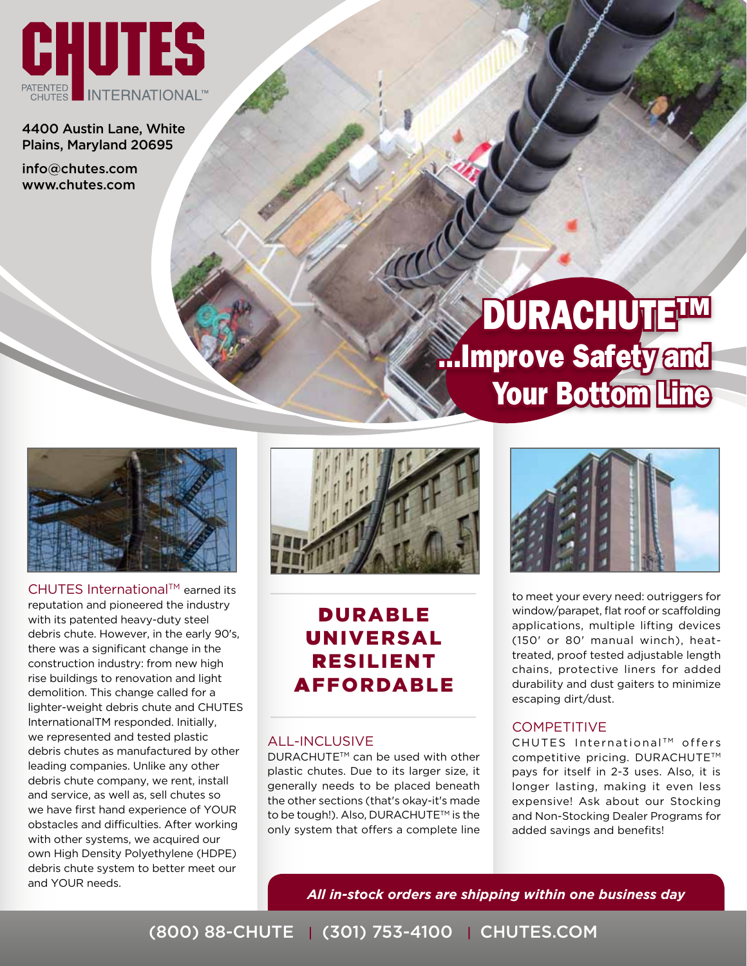

4400 Austin Lane, White Plains, Maryland 20695

info@chutes.com www.chutes.com

# **DURACHUTETM** ...Improve Safety and Your Bottom Line



CHUTES International™ earned its reputation and pioneered the industry with its patented heavy-duty steel debris chute. However, in the early 90's, there was a significant change in the construction industry: from new high rise buildings to renovation and light demolition. This change called for a lighter-weight debris chute and CHUTES InternationalTM responded. Initially, we represented and tested plastic debris chutes as manufactured by other leading companies. Unlike any other debris chute company, we rent, install and service, as well as, sell chutes so we have first hand experience of YOUR obstacles and difficulties. After working with other systems, we acquired our own High Density Polyethylene (HDPE) debris chute system to better meet our and YOUR needs.



### Durable Universal Resilient Affordable

#### All-Inclusive

DURACHUTE<sup>™</sup> can be used with other plastic chutes. Due to its larger size, it generally needs to be placed beneath the other sections (that's okay-it's made to be tough!). Also, DURACHUTE™ is the only system that offers a complete line



to meet your every need: outriggers for window/parapet, flat roof or scaffolding applications, multiple lifting devices (150' or 80' manual winch), heattreated, proof tested adjustable length chains, protective liners for added durability and dust gaiters to minimize escaping dirt/dust.

#### **COMPETITIVE**

CHUTES International™ offers competitive pricing. DURACHUTE™ pays for itself in 2-3 uses. Also, it is longer lasting, making it even less expensive! Ask about our Stocking and Non-Stocking Dealer Programs for added savings and benefits!

*All in-stock orders are shipping within one business day*